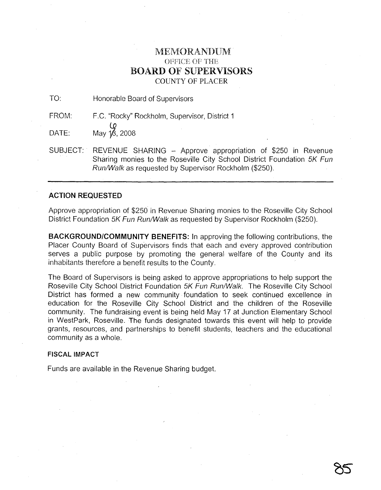# I\1El\![()RANDU-M OFFICE OF THE **BOARD OF SUPERVISORS** COUNTY OF PLACER

TO: Honorable Board of Supervisors

FROM: F.C. "Rocky" Rockholm, Supervisor, District 1

 $\overline{OATE}$ : May  $\overline{18}$ , 2008

SUBJECT: REVENUE SHARING - Approve appropriation of \$250 in Revenue Sharing monies to the Roseville City School District Foundation 5K Fun Run/Walk as requested by Supervisor Rockholm (\$250).

## **ACTION REQUESTED**

Approve appropriation of \$250 in Revenue Sharing monies to the Roseville City School District Foundation 5K Fun Run/Walk as requested by Supervisor Rockholm (\$250).

**BACKGROUND/COMMUNITY BENEFITS:** In approving the following contributions, the Placer County Board of Supervisors finds that each and every approved contribution serves a public purpose by promoting the general welfare of the County and its inhabitants therefore a benefit results to the County.

The Board of Supervisors is being asked to approve appropriations to help support the Roseville City School District Foundation 5K Fun Run/Walk. The Roseville City School District has formed a new community foundation to seek continued excellence in education for the Roseville City School District and the children of the Roseville community. The fundraising event is being held May 17 at Junction Elementary School in WestPark, Roseville. The funds designated towards this event will help to provide grants, resources, and partnerships to benefit students, teachers and the educational community as a whole.

## **FISCAL IMPACT**

Funds are available in the Revenue Sharing budget.